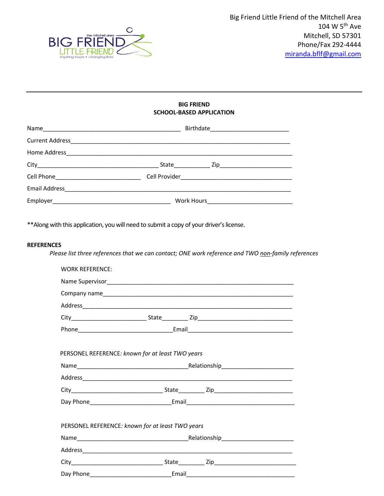

## BIG FRIEND SCHOOL-BASED APPLICATION

\*\*Along with this application, you will need to submit a copy of your driver's license.

### **REFERENCES**

Please list three references that we can contact; ONE work reference and TWO non-family references

| <b>WORK REFERENCE:</b> |                                                  |  |
|------------------------|--------------------------------------------------|--|
|                        |                                                  |  |
|                        |                                                  |  |
|                        |                                                  |  |
|                        |                                                  |  |
|                        |                                                  |  |
|                        | PERSONEL REFERENCE: known for at least TWO years |  |
|                        |                                                  |  |
|                        |                                                  |  |
|                        |                                                  |  |
|                        |                                                  |  |
|                        | PERSONEL REFERENCE: known for at least TWO years |  |
|                        |                                                  |  |
|                        |                                                  |  |
|                        |                                                  |  |
|                        |                                                  |  |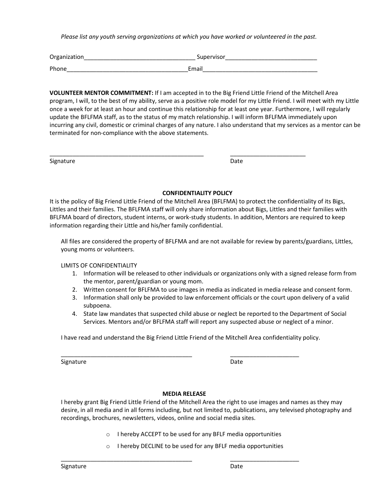Please list any youth serving organizations at which you have worked or volunteered in the past.

| Organization | Supervisor |
|--------------|------------|
| Phone        | Email      |

\_\_\_\_\_\_\_\_\_\_\_\_\_\_\_\_\_\_\_\_\_\_\_\_\_\_\_\_\_\_\_\_\_\_\_\_\_\_\_\_\_\_\_\_\_\_\_ \_\_\_\_\_\_\_\_\_\_\_\_\_\_\_\_\_\_\_\_\_\_\_

VOLUNTEER MENTOR COMMITMENT: If I am accepted in to the Big Friend Little Friend of the Mitchell Area program, I will, to the best of my ability, serve as a positive role model for my Little Friend. I will meet with my Little once a week for at least an hour and continue this relationship for at least one year. Furthermore, I will regularly update the BFLFMA staff, as to the status of my match relationship. I will inform BFLFMA immediately upon incurring any civil, domestic or criminal charges of any nature. I also understand that my services as a mentor can be terminated for non-compliance with the above statements.

Signature Date Date Date Date Date Date Date

## CONFIDENTIALITY POLICY

It is the policy of Big Friend Little Friend of the Mitchell Area (BFLFMA) to protect the confidentiality of its Bigs, Littles and their families. The BFLFMA staff will only share information about Bigs, Littles and their families with BFLFMA board of directors, student interns, or work-study students. In addition, Mentors are required to keep information regarding their Little and his/her family confidential.

All files are considered the property of BFLFMA and are not available for review by parents/guardians, Littles, young moms or volunteers.

LIMITS OF CONFIDENTIALITY

- 1. Information will be released to other individuals or organizations only with a signed release form from the mentor, parent/guardian or young mom.
- 2. Written consent for BFLFMA to use images in media as indicated in media release and consent form.
- 3. Information shall only be provided to law enforcement officials or the court upon delivery of a valid subpoena.
- 4. State law mandates that suspected child abuse or neglect be reported to the Department of Social Services. Mentors and/or BFLFMA staff will report any suspected abuse or neglect of a minor.

I have read and understand the Big Friend Little Friend of the Mitchell Area confidentiality policy.

Signature Date Date Date Date Date

# MEDIA RELEASE

\_\_\_\_\_\_\_\_\_\_\_\_\_\_\_\_\_\_\_\_\_\_\_\_\_\_\_\_\_\_\_\_\_\_\_\_\_\_\_\_ \_\_\_\_\_\_\_\_\_\_\_\_\_\_\_\_\_\_\_\_\_

\_\_\_\_\_\_\_\_\_\_\_\_\_\_\_\_\_\_\_\_\_\_\_\_\_\_\_\_\_\_\_\_\_\_\_\_\_\_\_\_ \_\_\_\_\_\_\_\_\_\_\_\_\_\_\_\_\_\_\_\_\_

I hereby grant Big Friend Little Friend of the Mitchell Area the right to use images and names as they may desire, in all media and in all forms including, but not limited to, publications, any televised photography and recordings, brochures, newsletters, videos, online and social media sites.

- o I hereby ACCEPT to be used for any BFLF media opportunities
- o I hereby DECLINE to be used for any BFLF media opportunities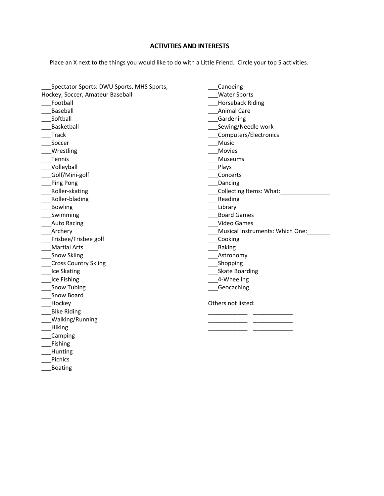# ACTIVITIES AND INTERESTS

Place an X next to the things you would like to do with a Little Friend. Circle your top 5 activities.

| Spectator Sports: DWU Sports, MHS Sports, | Canoeing                         |
|-------------------------------------------|----------------------------------|
| Hockey, Soccer, Amateur Baseball          | <b>Water Sports</b>              |
| Football                                  | <b>Horseback Riding</b>          |
| Baseball                                  | <b>Animal Care</b>               |
| Softball                                  | _Gardening                       |
| Basketball                                | Sewing/Needle work               |
| <b>Track</b>                              | Computers/Electronics            |
| Soccer                                    | Music                            |
| Wrestling                                 | Movies                           |
| Tennis                                    | Museums                          |
| Volleyball                                | _Plays                           |
| Golf/Mini-golf                            | Concerts                         |
| Ping Pong                                 | Dancing                          |
| Roller-skating                            | Collecting Items: What:          |
| Roller-blading                            | Reading                          |
| <b>Bowling</b>                            | Library                          |
| Swimming                                  | <b>Board Games</b>               |
| <b>Auto Racing</b>                        | Video Games                      |
| Archery                                   | _Musical Instruments: Which One: |
| Frisbee/Frisbee golf                      | __Cooking                        |
| <b>Martial Arts</b>                       | Baking                           |
| <b>Snow Skiing</b>                        | <b>Astronomy</b>                 |
| <b>Cross Country Skiing</b>               | ___Shopping                      |
| Ice Skating                               | ____ Skate Boarding              |
| Ice Fishing                               | 4-Wheeling                       |
| Snow Tubing                               | Geocaching                       |
| Snow Board                                |                                  |
| Hockey                                    | Others not listed:               |
| <b>Bike Riding</b>                        |                                  |
| <b>Walking/Running</b>                    |                                  |
| Hiking                                    |                                  |
| Camping                                   |                                  |
| Fishing                                   |                                  |
| Hunting                                   |                                  |
| Picnics                                   |                                  |

\_\_<br>\_\_Boating